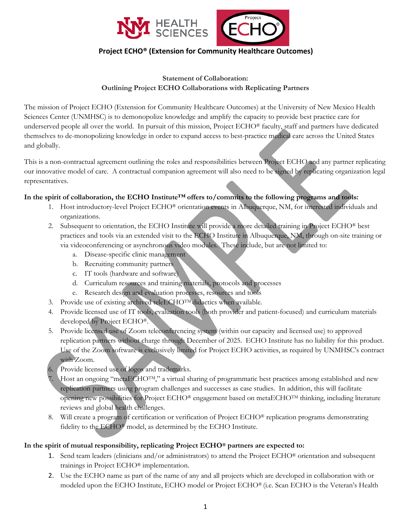



## **Project ECHO® (Extension for Community Healthcare Outcomes)**

## **Statement of Collaboration: Outlining Project ECHO Collaborations with Replicating Partners**

The mission of Project ECHO (Extension for Community Healthcare Outcomes) at the University of New Mexico Health Sciences Center (UNMHSC) is to demonopolize knowledge and amplify the capacity to provide best practice care for underserved people all over the world. In pursuit of this mission, Project ECHO® faculty, staff and partners have dedicated themselves to de-monopolizing knowledge in order to expand access to best-practice medical care across the United States and globally.

This is a non-contractual agreement outlining the roles and responsibilities between Project ECHO and any partner replicating our innovative model of care. A contractual companion agreement will also need to be signed by replicating organization legal representatives.

## **In the spirit of collaboration, the ECHO Institute™ offers to/commits to the following programs and tools:**

- 1. Host introductory-level Project ECHO® orientation events in Albuquerque, NM, for interested individuals and organizations.
- 2. Subsequent to orientation, the ECHO Institute will provide a more detailed training in Project ECHO® best practices and tools via an extended visit to the ECHO Institute in Albuquerque, NM, through on-site training or via videoconferencing or asynchronous video modules. These include, but are not limited to:
	- a. Disease-specific clinic management
	- b. Recruiting community partners
	- c. IT tools (hardware and software)
	- d. Curriculum resources and training materials, protocols and processes
	- e. Research design and evaluation processes, resources and tools
- 3. Provide use of existing archived teleECHOTM didactics when available.
- 4. Provide licensed use of IT tools, evaluation tools (both provider and patient-focused) and curriculum materials developed by Project ECHO®.
- 5. Provide licensed use of Zoom teleconferencing system (within our capacity and licensed use) to approved replication partners without charge through December of 2025. ECHO Institute has no liability for this product. Use of the Zoom software is exclusively limited for Project ECHO activities, as required by UNMHSC's contract with Zoom.
- Provide licensed use of logos and trademarks.
- 7. Host an ongoing "metaECHOTM," a virtual sharing of programmatic best practices among established and new replication partners using program challenges and successes as case studies. In addition, this will facilitate opening new possibilities for Project ECHO® engagement based on metaECHOTM thinking, including literature reviews and global health challenges.
- 8. Will create a program of certification or verification of Project ECHO® replication programs demonstrating fidelity to the ECHO® model, as determined by the ECHO Institute.

## **In the spirit of mutual responsibility, replicating Project ECHO® partners are expected to:**

- 1. Send team leaders (clinicians and/or administrators) to attend the Project ECHO® orientation and subsequent trainings in Project ECHO® implementation.
- 2. Use the ECHO name as part of the name of any and all projects which are developed in collaboration with or modeled upon the ECHO Institute, ECHO model or Project ECHO® (i.e. Scan ECHO is the Veteran's Health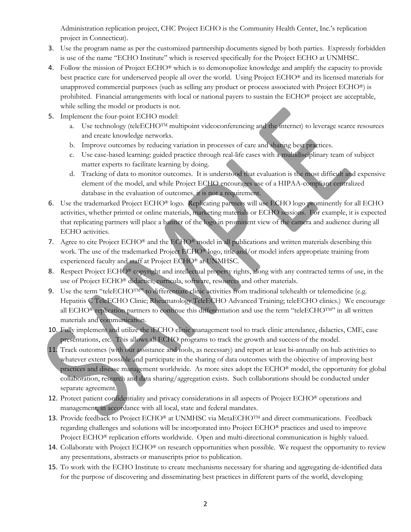Administration replication project, CHC Project ECHO is the Community Health Center, Inc.'s replication project in Connecticut).

- 3. Use the program name as per the customized partnership documents signed by both parties. Expressly forbidden is use of the name "ECHO Institute" which is reserved specifically for the Project ECHO at UNMHSC.
- 4. Follow the mission of Project ECHO® which is to demonopolize knowledge and amplify the capacity to provide best practice care for underserved people all over the world. Using Project ECHO® and its licensed materials for unapproved commercial purposes (such as selling any product or process associated with Project ECHO®) is prohibited. Financial arrangements with local or national payers to sustain the ECHO® project are acceptable, while selling the model or products is not.
- 5. Implement the four-point ECHO model:
	- a. Use technology (teleECHO<sup>TM</sup> multipoint videoconferencing and the internet) to leverage scarce resources and create knowledge networks.
	- b. Improve outcomes by reducing variation in processes of care and sharing best practices.
	- c. Use case-based learning: guided practice through real-life cases with a multidisciplinary team of subject matter experts to facilitate learning by doing.
	- d. Tracking of data to monitor outcomes. It is understood that evaluation is the most difficult and expensive element of the model, and while Project ECHO encourages use of a HIPAA-compliant centralized database in the evaluation of outcomes, it is not a requirement.
- 6. Use the trademarked Project ECHO® logo. Replicating partners will use ECHO logo prominently for all ECHO activities, whether printed or online materials, marketing materials or ECHO sessions. For example, it is expected that replicating partners will place a banner of the logo in prominent view of the camera and audience during all ECHO activities.
- 7. Agree to cite Project ECHO® and the ECHO® model in all publications and written materials describing this work. The use of the trademarked Project ECHO® logo, title and/or model infers appropriate training from experienced faculty and staff at Project ECHO® at UNMHSC.
- 8. Respect Project ECHO<sup>®</sup> copyright and intellectual property rights, along with any contracted terms of use, in the use of Project ECHO® didactics, curricula, software, resources and other materials.
- 9. Use the term "teleECHOTM" to differentiate clinic activities from traditional telehealth or telemedicine (e.g. Hepatitis C TeleECHO Clinic; Rheumatology TeleECHO Advanced Training; teleECHO clinics.) We encourage all ECHO<sup>®</sup> replication partners to continue this differentiation and use the term "teleECHOTM" in all written materials and communication.
- 10. Fully implement and utilize the iECHO clinic management tool to track clinic attendance, didactics, CME, case presentations, etc. This allows all ECHO programs to track the growth and success of the model.
- 11. Track outcomes (with our assistance and tools, as necessary) and report at least bi-annually on hub activities to whatever extent possible and participate in the sharing of data outcomes with the objective of improving best practices and disease management worldwide. As more sites adopt the ECHO® model, the opportunity for global collaboration, research and data sharing/aggregation exists. Such collaborations should be conducted under separate agreement.
- 12. Protect patient confidentiality and privacy considerations in all aspects of Project ECHO® operations and management, in accordance with all local, state and federal mandates.
- 13. Provide feedback to Project ECHO® at UNMHSC via MetaECHO<sup>TM</sup> and direct communications. Feedback regarding challenges and solutions will be incorporated into Project ECHO® practices and used to improve Project ECHO<sup>®</sup> replication efforts worldwide. Open and multi-directional communication is highly valued.
- 14. Collaborate with Project ECHO® on research opportunities when possible. We request the opportunity to review any presentations, abstracts or manuscripts prior to publication.
- 15. To work with the ECHO Institute to create mechanisms necessary for sharing and aggregating de-identified data for the purpose of discovering and disseminating best practices in different parts of the world, developing